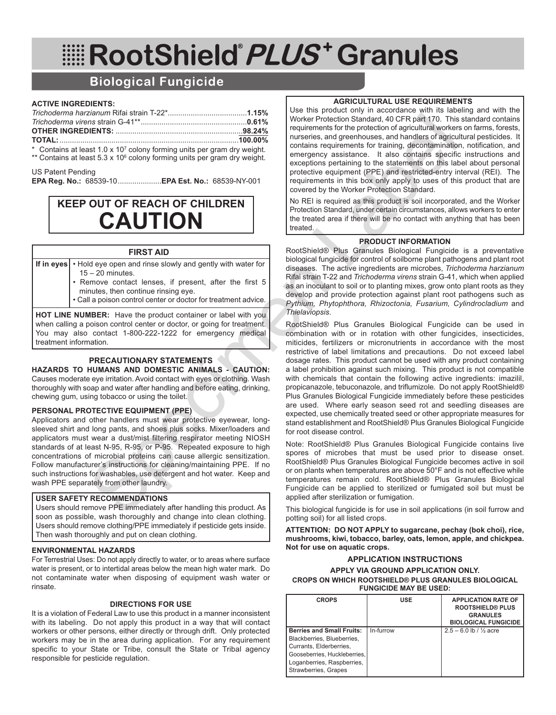# RootShield PLUS<sup>+</sup> Granules

## **Biological Fungicide**

#### **ACTIVE INGREDIENTS:**

\* Contains at least 1.0 x 107 colony forming units per gram dry weight. \*\* Contains at least 5.3 x 10<sup>6</sup> colony forming units per gram dry weight.

#### US Patent Pending

**EPA Reg. No.:** 68539-10.....................**EPA Est. No.:** 68539-NY-001

# **KEEP OUT OF REACH OF CHILDREN CAUTION**

#### **FIRST AID**

**If in eyes** • Hold eye open and rinse slowly and gently with water for  $15 - 20$  minutes.

- Remove contact lenses, if present, after the first 5 minutes, then continue rinsing eye.
- Call a poison control center or doctor for treatment advice.

**HOT LINE NUMBER:** Have the product container or label with you when calling a poison control center or doctor, or going for treatment. You may also contact 1-800-222-1222 for emergency medical treatment information.

#### **PRECAUTIONARY STATEMENTS**

**HAZARDS TO HUMANS AND DOMESTIC ANIMALS - CAUTION:** Causes moderate eye irritation. Avoid contact with eyes or clothing. Wash thoroughly with soap and water after handling and before eating, drinking, chewing gum, using tobacco or using the toilet.

#### **PERSONAL PROTECTIVE EQUIPMENT (PPE)**

Applicators and other handlers must wear protective eyewear, longsleeved shirt and long pants, and shoes plus socks. Mixer/loaders and applicators must wear a dust/mist filtering respirator meeting NIOSH standards of at least N-95, R-95, or P-95. Repeated exposure to high concentrations of microbial proteins can cause allergic sensitization. Follow manufacturer's instructions for cleaning/maintaining PPE. If no such instructions for washables, use detergent and hot water. Keep and wash PPE separately from other laundry.

#### **USER SAFETY RECOMMENDATIONS**

Users should remove PPE immediately after handling this product. As soon as possible, wash thoroughly and change into clean clothing. Users should remove clothing/PPE immediately if pesticide gets inside. Then wash thoroughly and put on clean clothing.

#### **ENVIRONMENTAL HAZARDS**

For Terrestrial Uses: Do not apply directly to water, or to areas where surface water is present, or to intertidal areas below the mean high water mark. Do not contaminate water when disposing of equipment wash water or rinsate.

#### **DIRECTIONS FOR USE**

It is a violation of Federal Law to use this product in a manner inconsistent with its labeling. Do not apply this product in a way that will contact workers or other persons, either directly or through drift. Only protected workers may be in the area during application. For any requirement specific to your State or Tribe, consult the State or Tribal agency responsible for pesticide regulation.

#### **AGRICULTURAL USE REQUIREMENTS**

Use this product only in accordance with its labeling and with the Worker Protection Standard, 40 CFR part 170. This standard contains requirements for the protection of agricultural workers on farms, forests, nurseries, and greenhouses, and handlers of agricultural pesticides. It contains requirements for training, decontamination, notification, and emergency assistance. It also contains specific instructions and exceptions pertaining to the statements on this label about personal protective equipment (PPE) and restricted-entry interval (REI). The requirements in this box only apply to uses of this product that are covered by the Worker Protection Standard.

No REI is required as this product is soil incorporated, and the Worker Protection Standard, under certain circumstances, allows workers to enter the treated area if there will be no contact with anything that has been treated.

#### **PRODUCT INFORMATION**

RootShield® Plus Granules Biological Fungicide is a preventative biological fungicide for control of soilborne plant pathogens and plant root diseases. The active ingredients are microbes, *Trichoderma harzianum* Rifai strain T-22 and *Trichoderma virens* strain G-41, which when applied as an inoculant to soil or to planting mixes, grow onto plant roots as they develop and provide protection against plant root pathogens such as *Pythium, Phytophthora, Rhizoctonia, Fusarium, Cylindrocladium* and *Thielaviopsis*.

RootShield® Plus Granules Biological Fungicide can be used in combination with or in rotation with other fungicides, insecticides, miticides, fertilizers or micronutrients in accordance with the most restrictive of label limitations and precautions. Do not exceed label dosage rates. This product cannot be used with any product containing a label prohibition against such mixing. This product is not compatible with chemicals that contain the following active ingredients: imazilil, propicanazole, tebuconazole, and triflumizole. Do not apply RootShield® Plus Granules Biological Fungicide immediately before these pesticides are used. Where early season seed rot and seedling diseases are expected, use chemically treated seed or other appropriate measures for stand establishment and RootShield® Plus Granules Biological Fungicide for root disease control.

Note: RootShield® Plus Granules Biological Fungicide contains live spores of microbes that must be used prior to disease onset. RootShield® Plus Granules Biological Fungicide becomes active in soil or on plants when temperatures are above 50°F and is not effective while temperatures remain cold. RootShield® Plus Granules Biological Fungicide can be applied to sterilized or fumigated soil but must be applied after sterilization or fumigation.

This biological fungicide is for use in soil applications (in soil furrow and potting soil) for all listed crops.

**ATTENTION: DO NOT APPLY to sugarcane, pechay (bok choi), rice, mushrooms, kiwi, tobacco, barley, oats, lemon, apple, and chickpea. Not for use on aquatic crops.**

#### **APPLICATION INSTRUCTIONS APPLY VIA GROUND APPLICATION ONLY. CROPS ON WHICH ROOTSHIELD® PLUS GRANULES BIOLOGICAL FUNGICIDE MAY BE USED:**

| <b>CROPS</b>                                                                                                                                                                    | <b>USE</b> | <b>APPLICATION RATE OF</b><br><b>ROOTSHIELD® PLUS</b><br><b>GRANULES</b><br><b>BIOLOGICAL FUNGICIDE</b> |
|---------------------------------------------------------------------------------------------------------------------------------------------------------------------------------|------------|---------------------------------------------------------------------------------------------------------|
| <b>Berries and Small Fruits:</b><br>Blackberries, Blueberries,<br>Currants, Elderberries.<br>Gooseberries, Huckleberries,<br>Loganberries, Raspberries,<br>Strawberries, Grapes | In-furrow  | $2.5 - 6.0 \, \text{lb}$ / % acre                                                                       |